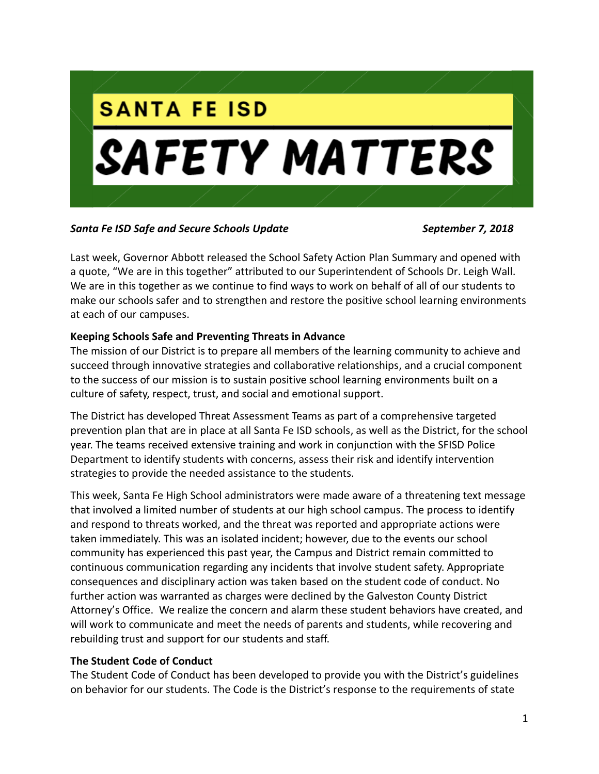

*Santa Fe ISD Safe and Secure Schools Update September 7, 2018*

Last week, Governor Abbott released the School Safety Action Plan Summary and opened with a quote, "We are in this together" attributed to our Superintendent of Schools Dr. Leigh Wall. We are in this together as we continue to find ways to work on behalf of all of our students to make our schools safer and to strengthen and restore the positive school learning environments at each of our campuses.

# **Keeping Schools Safe and Preventing Threats in Advance**

The mission of our District is to prepare all members of the learning community to achieve and succeed through innovative strategies and collaborative relationships, and a crucial component to the success of our mission is to sustain positive school learning environments built on a culture of safety, respect, trust, and social and emotional support.

The District has developed Threat Assessment Teams as part of a comprehensive targeted prevention plan that are in place at all Santa Fe ISD schools, as well as the District, for the school year. The teams received extensive training and work in conjunction with the SFISD Police Department to identify students with concerns, assess their risk and identify intervention strategies to provide the needed assistance to the students.

This week, Santa Fe High School administrators were made aware of a threatening text message that involved a limited number of students at our high school campus. The process to identify and respond to threats worked, and the threat was reported and appropriate actions were taken immediately. This was an isolated incident; however, due to the events our school community has experienced this past year, the Campus and District remain committed to continuous communication regarding any incidents that involve student safety. Appropriate consequences and disciplinary action was taken based on the student code of conduct. No further action was warranted as charges were declined by the Galveston County District Attorney's Office. We realize the concern and alarm these student behaviors have created, and will work to communicate and meet the needs of parents and students, while recovering and rebuilding trust and support for our students and staff.

# **The Student Code of Conduct**

The Student Code of Conduct has been developed to provide you with the District's guidelines on behavior for our students. The Code is the District's response to the requirements of state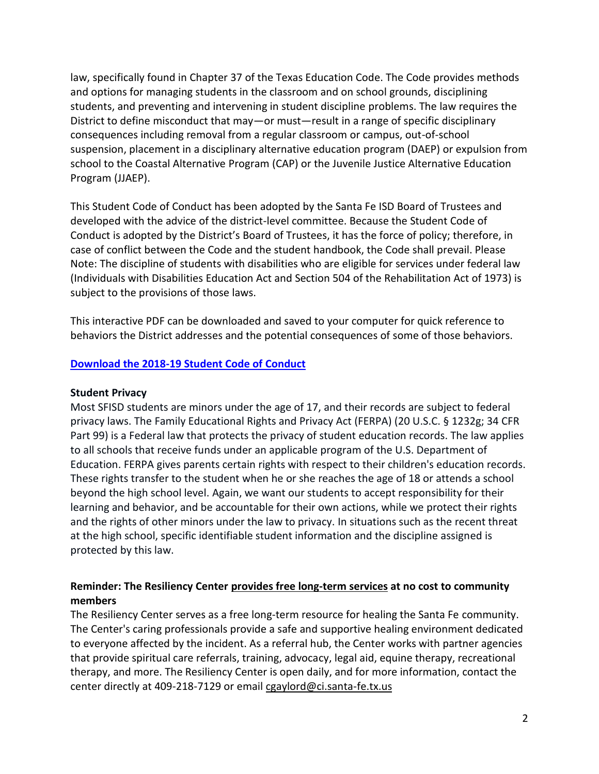law, specifically found in Chapter 37 of the Texas Education Code. The Code provides methods and options for managing students in the classroom and on school grounds, disciplining students, and preventing and intervening in student discipline problems. The law requires the District to define misconduct that may—or must—result in a range of specific disciplinary consequences including removal from a regular classroom or campus, out-of-school suspension, placement in a disciplinary alternative education program (DAEP) or expulsion from school to the Coastal Alternative Program (CAP) or the Juvenile Justice Alternative Education Program (JJAEP).

This Student Code of Conduct has been adopted by the Santa Fe ISD Board of Trustees and developed with the advice of the district-level committee. Because the Student Code of Conduct is adopted by the District's Board of Trustees, it has the force of policy; therefore, in case of conflict between the Code and the student handbook, the Code shall prevail. Please Note: The discipline of students with disabilities who are eligible for services under federal law (Individuals with Disabilities Education Act and Section 504 of the Rehabilitation Act of 1973) is subject to the provisions of those laws.

This interactive PDF can be downloaded and saved to your computer for quick reference to behaviors the District addresses and the potential consequences of some of those behaviors.

### **[Download the 2018-19 Student Code of](https://www.sfisd.org/cms/lib/TX02215329/Centricity/Domain/1479/Student%20Code%20of%20Conduct%202018-2019%20Board%20Approved%20Up%20PDF.pdf) Conduct**

#### **Student Privacy**

Most SFISD students are minors under the age of 17, and their records are subject to federal privacy laws. The Family Educational Rights and Privacy Act (FERPA) (20 U.S.C. § 1232g; 34 CFR Part 99) is a Federal law that protects the privacy of student education records. The law applies to all schools that receive funds under an applicable program of the U.S. Department of Education. FERPA gives parents certain rights with respect to their children's education records. These rights transfer to the student when he or she reaches the age of 18 or attends a school beyond the high school level. Again, we want our students to accept responsibility for their learning and behavior, and be accountable for their own actions, while we protect their rights and the rights of other minors under the law to privacy. In situations such as the recent threat at the high school, specific identifiable student information and the discipline assigned is protected by this law.

## **Reminder: The Resiliency Center provides free long-term services at no cost to community members**

The Resiliency Center serves as a free long-term resource for healing the Santa Fe community. The Center's caring professionals provide a safe and supportive healing environment dedicated to everyone affected by the incident. As a referral hub, the Center works with partner agencies that provide spiritual care referrals, training, advocacy, legal aid, equine therapy, recreational therapy, and more. The Resiliency Center is open daily, and for more information, contact the center directly at 409-218-7129 or email [cgaylord@ci.santa-fe.tx.us](mailto:cgaylord@ci.santa-fe.tx.us)